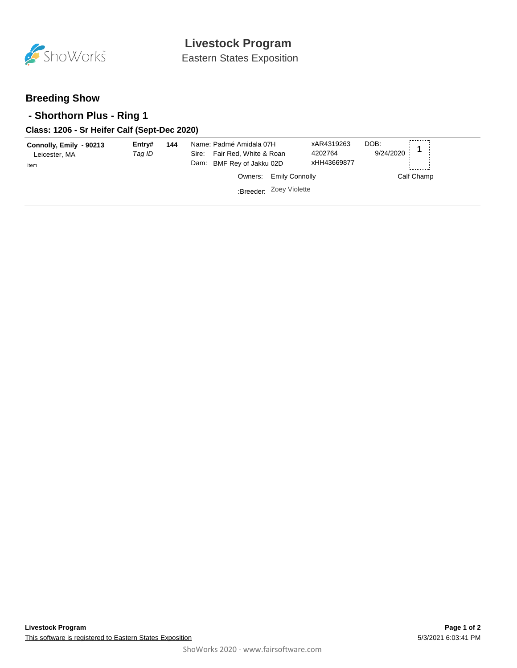

Eastern States Exposition

## **Breeding Show**

### **- Shorthorn Plus - Ring 1**

#### **Class: 1206 - Sr Heifer Calf (Sept-Dec 2020)**

| Connolly, Emily - 90213<br>Leicester, MA<br>Item | Entry#<br>Taq ID | 144 | Name: Padmé Amidala 07H<br>Sire: Fair Red, White & Roan<br>Dam: BMF Rey of Jakku 02D | xAR4319263<br>4202764<br>xHH43669877 | DOB:<br>9/24/2020 |  |
|--------------------------------------------------|------------------|-----|--------------------------------------------------------------------------------------|--------------------------------------|-------------------|--|
|                                                  |                  |     | Owners: Emily Connolly                                                               |                                      | Calf Champ        |  |
|                                                  |                  |     | :Breeder: Zoey Violette                                                              |                                      |                   |  |
|                                                  |                  |     |                                                                                      |                                      |                   |  |